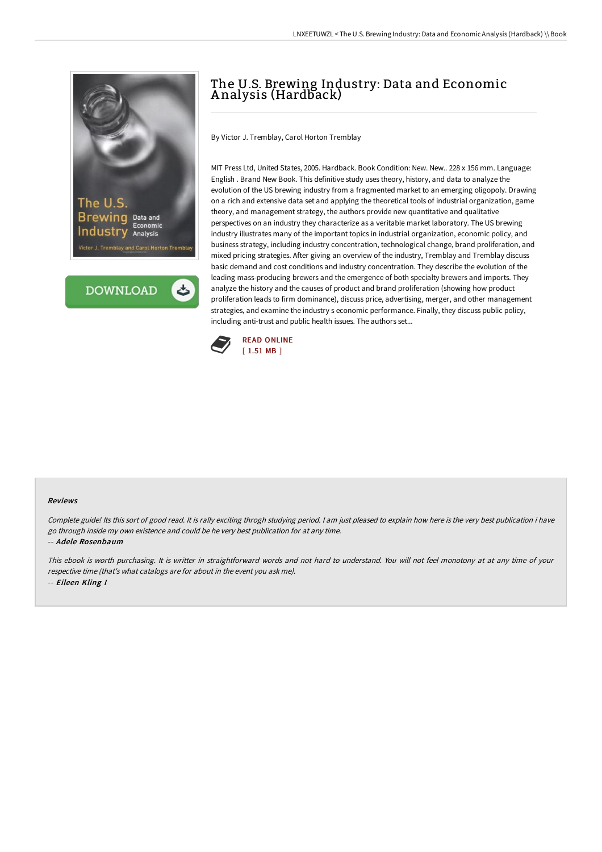



## The U.S. Brewing Industry: Data and Economic A nalysis (Hardback)

By Victor J. Tremblay, Carol Horton Tremblay

MIT Press Ltd, United States, 2005. Hardback. Book Condition: New. New.. 228 x 156 mm. Language: English . Brand New Book. This definitive study uses theory, history, and data to analyze the evolution of the US brewing industry from a fragmented market to an emerging oligopoly. Drawing on a rich and extensive data set and applying the theoretical tools of industrial organization, game theory, and management strategy, the authors provide new quantitative and qualitative perspectives on an industry they characterize as a veritable market laboratory. The US brewing industry illustrates many of the important topics in industrial organization, economic policy, and business strategy, including industry concentration, technological change, brand proliferation, and mixed pricing strategies. After giving an overview of the industry, Tremblay and Tremblay discuss basic demand and cost conditions and industry concentration. They describe the evolution of the leading mass-producing brewers and the emergence of both specialty brewers and imports. They analyze the history and the causes of product and brand proliferation (showing how product proliferation leads to firm dominance), discuss price, advertising, merger, and other management strategies, and examine the industry s economic performance. Finally, they discuss public policy, including anti-trust and public health issues. The authors set...



## Reviews

Complete guide! Its this sort of good read. It is rally exciting throgh studying period. I am just pleased to explain how here is the very best publication i have go through inside my own existence and could be he very best publication for at any time. -- Adele Rosenbaum

This ebook is worth purchasing. It is writter in straightforward words and not hard to understand. You will not feel monotony at at any time of your respective time (that's what catalogs are for about in the event you ask me). -- Eileen Kling I